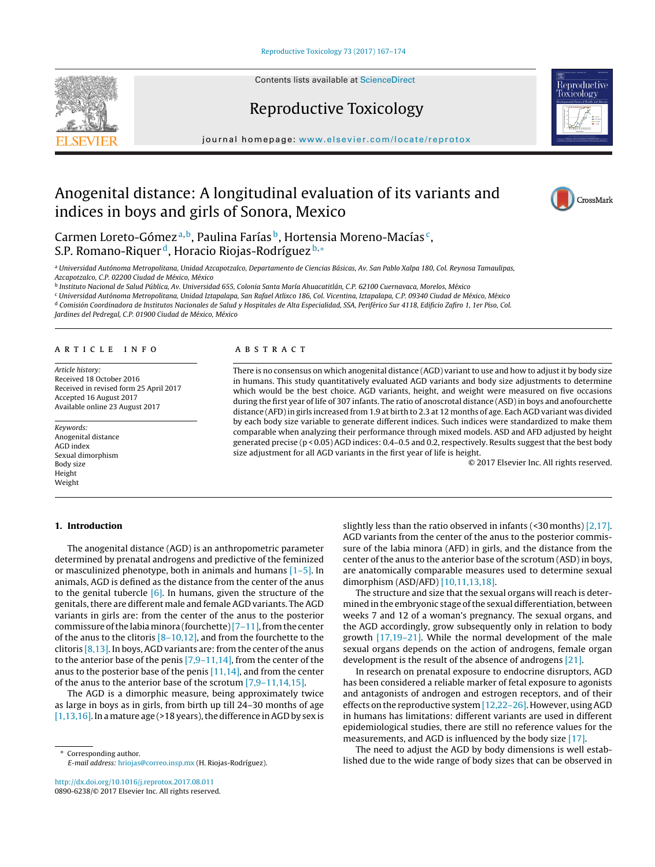Contents lists available at [ScienceDirect](http://www.sciencedirect.com/science/journal/08906238)







journal homepage: [www.elsevier.com/locate/reprotox](http://www.elsevier.com/locate/reprotox)

# Anogenital distance: A longitudinal evaluation of its variants and indices in boys and girls of Sonora, Mexico



Carmen Loreto-Gómez<sup>a, b</sup>, Paulina Farías <sup>b</sup>, Hortensia Moreno-Macías<sup>c</sup>, S.P. Romano-Riquer<sup>d</sup>, Horacio Riojas-Rodríguez<sup>b,∗</sup>

<sup>a</sup> Universidad Autónoma Metropolitana, Unidad Azcapotzalco, Departamento de Ciencias Básicas, Av. San Pablo Xalpa 180, Col. Reynosa Tamaulipas, Azcapotzalco, C.P. 02200 Ciudad de México, México

<sup>b</sup> Instituto Nacional de Salud Pública, Av. Universidad 655, Colonia Santa María Ahuacatitlán, C.P. 62100 Cuernavaca, Morelos, México

<sup>c</sup> Universidad Autónoma Metropolitana, Unidad Iztapalapa, San Rafael Atlixco 186, Col. Vicentina, Iztapalapa, C.P. 09340 Ciudad de México, México

<sup>d</sup> Comisión Coordinadora de Institutos Nacionales de Salud y Hospitales de Alta Especialidad, SSA, Periférico Sur 4118, Edificio Zafiro 1, 1er Piso, Col.

Jardines del Pedregal, C.P. 01900 Ciudad de México, México

#### A R T I C L E I N F O

Article history: Received 18 October 2016 Received in revised form 25 April 2017 Accepted 16 August 2017 Available online 23 August 2017

Keywords: Anogenital distance AGD index Sexual dimorphism Body size Height Weight

#### **1. Introduction**

# a b s t r a c t

There is no consensus on which anogenital distance (AGD) variant to use and how to adjust it by body size in humans. This study quantitatively evaluated AGD variants and body size adjustments to determine which would be the best choice. AGD variants, height, and weight were measured on five occasions during the first year of life of 307 infants. The ratio of anoscrotal distance (ASD) in boys and anofourchette distance (AFD)in girls increased from 1.9 at birth to 2.3 at 12 months of age. Each AGD variant was divided by each body size variable to generate different indices. Such indices were standardized to make them comparable when analyzing their performance through mixed models. ASD and AFD adjusted by height generated precise (p < 0.05) AGD indices: 0.4–0.5 and 0.2, respectively. Results suggest that the best body size adjustment for all AGD variants in the first year of life is height.

© 2017 Elsevier Inc. All rights reserved.

The anogenital distance (AGD) is an anthropometric parameter determined by prenatal androgens and predictive of the feminized or masculinized phenotype, both in animals and humans [\[1–5\].](#page--1-0) In animals, AGD is defined as the distance from the center of the anus to the genital tubercle  $[6]$ . In humans, given the structure of the genitals, there are different male and female AGD variants. The AGD variants in girls are: from the center of the anus to the posterior commissure of the labia minora (fourchette)  $[7-11]$ , from the center of the anus to the clitoris  $[8-10,12]$ , and from the fourchette to the clitoris  $[8,13]$ . In boys, AGD variants are: from the center of the anus to the anterior base of the penis [\[7,9–11,14\],](#page--1-0) from the center of the anus to the posterior base of the penis  $[11,14]$ , and from the center of the anus to the anterior base of the scrotum [\[7,9–11,14,15\].](#page--1-0)

The AGD is a dimorphic measure, being approximately twice as large in boys as in girls, from birth up till 24–30 months of age  $[1,13,16]$ . In a mature age (>18 years), the difference in AGD by sex is

∗ Corresponding author. E-mail address: [hriojas@correo.insp.mx](mailto:hriojas@correo.insp.mx) (H. Riojas-Rodríguez).

[http://dx.doi.org/10.1016/j.reprotox.2017.08.011](dx.doi.org/10.1016/j.reprotox.2017.08.011) 0890-6238/© 2017 Elsevier Inc. All rights reserved. slightly less than the ratio observed in infants  $($ <30 months $)$  [\[2,17\].](#page--1-0) AGD variants from the center of the anus to the posterior commissure of the labia minora (AFD) in girls, and the distance from the center of the anus to the anterior base of the scrotum (ASD) in boys, are anatomically comparable measures used to determine sexual dimorphism (ASD/AFD) [\[10,11,13,18\].](#page--1-0)

The structure and size that the sexual organs will reach is determined in the embryonic stage of the sexual differentiation, between weeks 7 and 12 of a woman's pregnancy. The sexual organs, and the AGD accordingly, grow subsequently only in relation to body growth [\[17,19–21\].](#page--1-0) While the normal development of the male sexual organs depends on the action of androgens, female organ development is the result of the absence of androgens [\[21\].](#page--1-0)

In research on prenatal exposure to endocrine disruptors, AGD has been considered a reliable marker of fetal exposure to agonists and antagonists of androgen and estrogen receptors, and of their effects on the reproductive system[\[12,22–26\].](#page--1-0) However, usingAGD in humans has limitations: different variants are used in different epidemiological studies, there are still no reference values for the measurements, and AGD is influenced by the body size [\[17\].](#page--1-0)

The need to adjust the AGD by body dimensions is well established due to the wide range of body sizes that can be observed in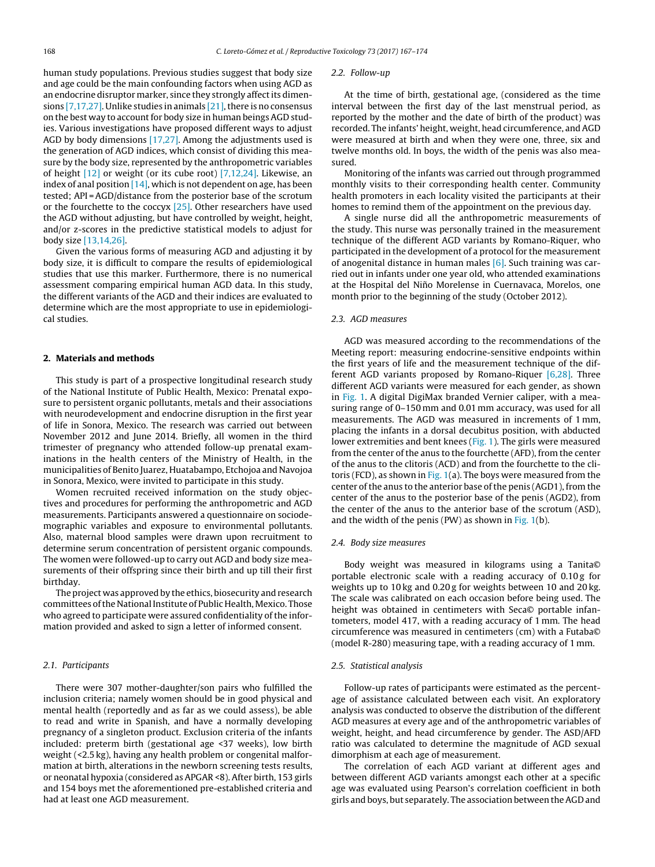human study populations. Previous studies suggest that body size and age could be the main confounding factors when using AGD as an endocrine disruptor marker, since they strongly affect its dimensions  $[7,17,27]$ . Unlike studies in animals  $[21]$ , there is no consensus on the best way to account for body size in human beings AGD studies. Various investigations have proposed different ways to adjust AGD by body dimensions [\[17,27\].](#page--1-0) Among the adjustments used is the generation of AGD indices, which consist of dividing this measure by the body size, represented by the anthropometric variables of height [\[12\]](#page--1-0) or weight (or its cube root) [\[7,12,24\].](#page--1-0) Likewise, an index of anal position  $[14]$ , which is not dependent on age, has been tested; API =AGD/distance from the posterior base of the scrotum or the fourchette to the coccyx [\[25\].](#page--1-0) Other researchers have used the AGD without adjusting, but have controlled by weight, height, and/or z-scores in the predictive statistical models to adjust for body size [\[13,14,26\].](#page--1-0)

Given the various forms of measuring AGD and adjusting it by body size, it is difficult to compare the results of epidemiological studies that use this marker. Furthermore, there is no numerical assessment comparing empirical human AGD data. In this study, the different variants of the AGD and their indices are evaluated to determine which are the most appropriate to use in epidemiological studies.

# **2. Materials and methods**

This study is part of a prospective longitudinal research study of the National Institute of Public Health, Mexico: Prenatal exposure to persistent organic pollutants, metals and their associations with neurodevelopment and endocrine disruption in the first year of life in Sonora, Mexico. The research was carried out between November 2012 and June 2014. Briefly, all women in the third trimester of pregnancy who attended follow-up prenatal examinations in the health centers of the Ministry of Health, in the municipalities of Benito Juarez, Huatabampo, Etchojoa and Navojoa in Sonora, Mexico, were invited to participate in this study.

Women recruited received information on the study objectives and procedures for performing the anthropometric and AGD measurements. Participants answered a questionnaire on sociodemographic variables and exposure to environmental pollutants. Also, maternal blood samples were drawn upon recruitment to determine serum concentration of persistent organic compounds. The women were followed-up to carry out AGD and body size measurements of their offspring since their birth and up till their first birthday.

The project was approved by the ethics, biosecurity and research committees of the National Institute of Public Health, Mexico. Those who agreed to participate were assured confidentiality of the information provided and asked to sign a letter of informed consent.

## 2.1. Participants

There were 307 mother-daughter/son pairs who fulfilled the inclusion criteria; namely women should be in good physical and mental health (reportedly and as far as we could assess), be able to read and write in Spanish, and have a normally developing pregnancy of a singleton product. Exclusion criteria of the infants included: preterm birth (gestational age <37 weeks), low birth weight (<2.5 kg), having any health problem or congenital malformation at birth, alterations in the newborn screening tests results, or neonatal hypoxia (considered as APGAR <8). After birth, 153 girls and 154 boys met the aforementioned pre-established criteria and had at least one AGD measurement.

#### 2.2. Follow-up

At the time of birth, gestational age, (considered as the time interval between the first day of the last menstrual period, as reported by the mother and the date of birth of the product) was recorded. The infants' height, weight, head circumference, and AGD were measured at birth and when they were one, three, six and twelve months old. In boys, the width of the penis was also measured.

Monitoring of the infants was carried out through programmed monthly visits to their corresponding health center. Community health promoters in each locality visited the participants at their homes to remind them of the appointment on the previous day.

A single nurse did all the anthropometric measurements of the study. This nurse was personally trained in the measurement technique of the different AGD variants by Romano-Riquer, who participated in the development of a protocol for the measurement of anogenital distance in human males  $[6]$ . Such training was carried out in infants under one year old, who attended examinations at the Hospital del Niño Morelense in Cuernavaca, Morelos, one month prior to the beginning of the study (October 2012).

#### 2.3. AGD measures

AGD was measured according to the recommendations of the Meeting report: measuring endocrine-sensitive endpoints within the first years of life and the measurement technique of the different AGD variants proposed by Romano-Riquer [\[6,28\].](#page--1-0) Three different AGD variants were measured for each gender, as shown in [Fig.](#page--1-0) 1. A digital DigiMax branded Vernier caliper, with a measuring range of 0–150 mm and 0.01 mm accuracy, was used for all measurements. The AGD was measured in increments of 1 mm, placing the infants in a dorsal decubitus position, with abducted lower extremities and bent knees [\(Fig.](#page--1-0) 1). The girls were measured from the center of the anus to the fourchette (AFD), from the center of the anus to the clitoris (ACD) and from the fourchette to the cli-toris (FCD), as shown in [Fig.](#page--1-0)  $1(a)$ . The boys were measured from the center of the anus to the anterior base of the penis (AGD1), from the center of the anus to the posterior base of the penis (AGD2), from the center of the anus to the anterior base of the scrotum (ASD), and the width of the penis (PW) as shown in [Fig.](#page--1-0)  $1(b)$ .

#### 2.4. Body size measures

Body weight was measured in kilograms using a Tanita© portable electronic scale with a reading accuracy of 0.10g for weights up to 10 kg and 0.20 g for weights between 10 and 20 kg. The scale was calibrated on each occasion before being used. The height was obtained in centimeters with Seca© portable infantometers, model 417, with a reading accuracy of 1 mm. The head circumference was measured in centimeters (cm) with a Futaba© (model R-280) measuring tape, with a reading accuracy of 1 mm.

## 2.5. Statistical analysis

Follow-up rates of participants were estimated as the percentage of assistance calculated between each visit. An exploratory analysis was conducted to observe the distribution of the different AGD measures at every age and of the anthropometric variables of weight, height, and head circumference by gender. The ASD/AFD ratio was calculated to determine the magnitude of AGD sexual dimorphism at each age of measurement.

The correlation of each AGD variant at different ages and between different AGD variants amongst each other at a specific age was evaluated using Pearson's correlation coefficient in both girls and boys, but separately. The association between theAGD and